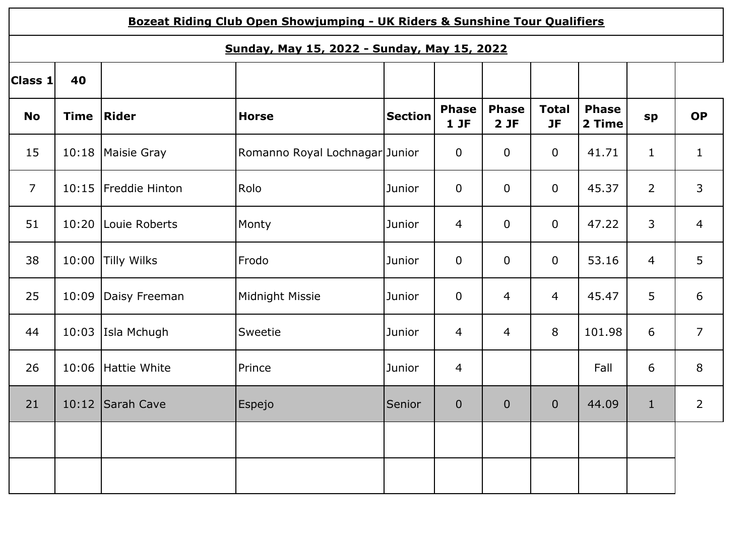|                                             | Bozeat Riding Club Open Showjumping - UK Riders & Sunshine Tour Qualifiers |                    |                                |                |                     |                     |                           |                        |                |                |  |  |
|---------------------------------------------|----------------------------------------------------------------------------|--------------------|--------------------------------|----------------|---------------------|---------------------|---------------------------|------------------------|----------------|----------------|--|--|
| Sunday, May 15, 2022 - Sunday, May 15, 2022 |                                                                            |                    |                                |                |                     |                     |                           |                        |                |                |  |  |
| Class 1                                     | 40                                                                         |                    |                                |                |                     |                     |                           |                        |                |                |  |  |
| <b>No</b>                                   | <b>Time</b>                                                                | Rider              | <b>Horse</b>                   | <b>Section</b> | <b>Phase</b><br>1JF | <b>Phase</b><br>2JF | <b>Total</b><br><b>JF</b> | <b>Phase</b><br>2 Time | sp             | <b>OP</b>      |  |  |
| 15                                          | 10:18                                                                      | Maisie Gray        | Romanno Royal Lochnagar Junior |                | $\overline{0}$      | $\mathbf 0$         | $\mathbf 0$               | 41.71                  | $\mathbf{1}$   | $\mathbf{1}$   |  |  |
| $\overline{7}$                              | 10:15                                                                      | Freddie Hinton     | Rolo                           | Junior         | $\mathbf 0$         | $\mathbf 0$         | $\mathbf 0$               | 45.37                  | $\overline{2}$ | 3              |  |  |
| 51                                          | 10:20                                                                      | Louie Roberts      | Monty                          | Junior         | $\overline{4}$      | $\mathbf 0$         | $\mathbf 0$               | 47.22                  | 3              | $\overline{4}$ |  |  |
| 38                                          | 10:00                                                                      | <b>Tilly Wilks</b> | Frodo                          | Junior         | $\overline{0}$      | $\mathbf 0$         | $\mathbf 0$               | 53.16                  | 4              | 5              |  |  |
| 25                                          | 10:09                                                                      | Daisy Freeman      | Midnight Missie                | Junior         | $\overline{0}$      | $\overline{4}$      | 4                         | 45.47                  | 5              | 6              |  |  |
| 44                                          | 10:03                                                                      | Isla Mchugh        | Sweetie                        | Junior         | $\overline{4}$      | $\overline{4}$      | 8                         | 101.98                 | 6              | $\overline{7}$ |  |  |
| 26                                          | 10:06                                                                      | Hattie White       | Prince                         | Junior         | $\overline{4}$      |                     |                           | Fall                   | 6              | 8              |  |  |
| 21                                          |                                                                            | 10:12 Sarah Cave   | Espejo                         | Senior         | $\theta$            | $\mathbf 0$         | $\mathbf 0$               | 44.09                  | $\mathbf{1}$   | $\overline{2}$ |  |  |
|                                             |                                                                            |                    |                                |                |                     |                     |                           |                        |                |                |  |  |
|                                             |                                                                            |                    |                                |                |                     |                     |                           |                        |                |                |  |  |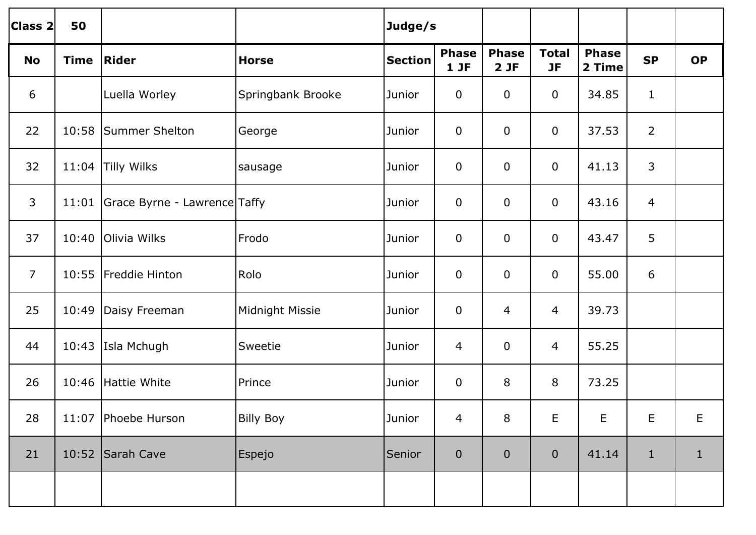| Class 2        | 50          |                              |                   | Judge/s        |                        |                     |                           |                        |                |              |
|----------------|-------------|------------------------------|-------------------|----------------|------------------------|---------------------|---------------------------|------------------------|----------------|--------------|
| <b>No</b>      | <b>Time</b> | Rider                        | <b>Horse</b>      | <b>Section</b> | <b>Phase</b><br>$1$ JF | <b>Phase</b><br>2JF | <b>Total</b><br><b>JF</b> | <b>Phase</b><br>2 Time | <b>SP</b>      | <b>OP</b>    |
| 6              |             | Luella Worley                | Springbank Brooke | Junior         | $\mathbf 0$            | $\mathbf 0$         | $\overline{0}$            | 34.85                  | $\mathbf{1}$   |              |
| 22             | 10:58       | Summer Shelton               | George            | Junior         | $\mathbf 0$            | $\mathbf 0$         | $\mathbf 0$               | 37.53                  | $\overline{2}$ |              |
| 32             |             | 11:04 Tilly Wilks            | sausage           | Junior         | $\mathbf 0$            | $\mathbf 0$         | $\mathbf 0$               | 41.13                  | $\overline{3}$ |              |
| 3              | 11:01       | Grace Byrne - Lawrence Taffy |                   | Junior         | $\mathbf 0$            | $\mathbf 0$         | $\mathbf 0$               | 43.16                  | $\overline{4}$ |              |
| 37             | 10:40       | Olivia Wilks                 | Frodo             | Junior         | $\mathbf 0$            | $\overline{0}$      | $\mathbf 0$               | 43.47                  | 5              |              |
| $\overline{7}$ | 10:55       | Freddie Hinton               | Rolo              | Junior         | $\mathbf 0$            | $\overline{0}$      | $\mathbf 0$               | 55.00                  | 6              |              |
| 25             | 10:49       | Daisy Freeman                | Midnight Missie   | Junior         | $\mathbf 0$            | 4                   | 4                         | 39.73                  |                |              |
| 44             | 10:43       | Isla Mchugh                  | Sweetie           | Junior         | 4                      | $\mathbf 0$         | 4                         | 55.25                  |                |              |
| 26             | 10:46       | Hattie White                 | Prince            | Junior         | $\mathbf 0$            | 8                   | 8                         | 73.25                  |                |              |
| 28             |             | 11:07 Phoebe Hurson          | <b>Billy Boy</b>  | Junior         | 4                      | 8                   | E                         | E                      | E              | E            |
| 21             |             | 10:52 Sarah Cave             | Espejo            | Senior         | $\pmb{0}$              | $\pmb{0}$           | $\mathbf 0$               | 41.14                  | $\mathbf{1}$   | $\mathbf{1}$ |
|                |             |                              |                   |                |                        |                     |                           |                        |                |              |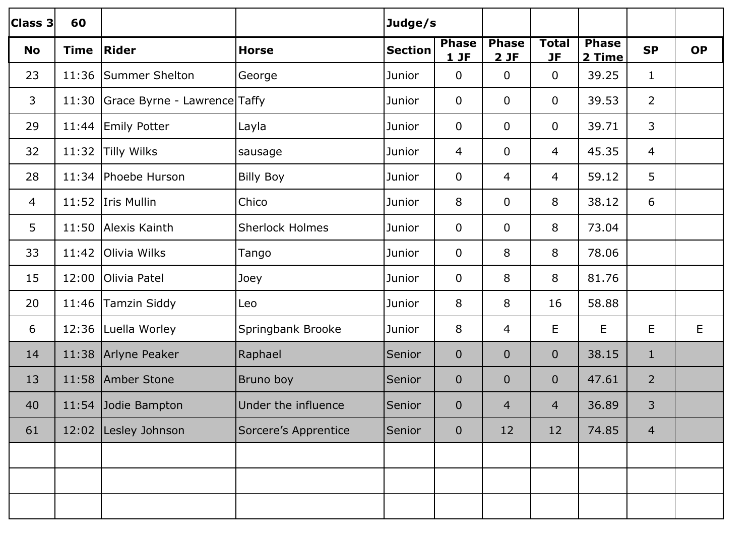| Class 3        | 60          |                                    |                        | Judge/s        |                      |                      |                           |                        |                |           |
|----------------|-------------|------------------------------------|------------------------|----------------|----------------------|----------------------|---------------------------|------------------------|----------------|-----------|
| <b>No</b>      | <b>Time</b> | Rider                              | <b>Horse</b>           | <b>Section</b> | <b>Phase</b><br>1 JF | <b>Phase</b><br>2 JF | <b>Total</b><br><b>JF</b> | <b>Phase</b><br>2 Time | <b>SP</b>      | <b>OP</b> |
| 23             |             | 11:36 Summer Shelton               | George                 | Junior         | $\mathbf 0$          | $\mathbf 0$          | $\mathbf 0$               | 39.25                  | $\mathbf{1}$   |           |
| 3              |             | 11:30 Grace Byrne - Lawrence Taffy |                        | Junior         | $\mathbf 0$          | $\mathbf 0$          | $\mathbf 0$               | 39.53                  | $\overline{2}$ |           |
| 29             |             | 11:44 Emily Potter                 | Layla                  | Junior         | $\mathbf 0$          | $\mathbf 0$          | $\mathbf 0$               | 39.71                  | 3              |           |
| 32             |             | 11:32 Tilly Wilks                  | sausage                | Junior         | 4                    | $\mathbf 0$          | 4                         | 45.35                  | $\overline{4}$ |           |
| 28             |             | 11:34 Phoebe Hurson                | <b>Billy Boy</b>       | Junior         | $\mathbf 0$          | 4                    | 4                         | 59.12                  | 5              |           |
| $\overline{4}$ |             | 11:52 Iris Mullin                  | Chico                  | Junior         | 8                    | $\mathbf 0$          | 8                         | 38.12                  | 6              |           |
| 5              |             | 11:50 Alexis Kainth                | <b>Sherlock Holmes</b> | Junior         | $\mathbf 0$          | $\mathbf 0$          | 8                         | 73.04                  |                |           |
| 33             |             | 11:42 Olivia Wilks                 | Tango                  | Junior         | $\mathbf 0$          | 8                    | 8                         | 78.06                  |                |           |
| 15             |             | 12:00 Olivia Patel                 | Joey                   | Junior         | $\mathbf 0$          | 8                    | 8                         | 81.76                  |                |           |
| 20             |             | 11:46 Tamzin Siddy                 | Leo                    | Junior         | 8                    | 8                    | 16                        | 58.88                  |                |           |
| 6              |             | 12:36   Luella Worley              | Springbank Brooke      | Junior         | 8                    | $\overline{4}$       | E                         | E                      | E              | E         |
| 14             |             | 11:38 Arlyne Peaker                | Raphael                | Senior         | $\mathbf{0}$         | $\mathbf{0}$         | $\mathbf{0}$              | 38.15                  | $\mathbf{1}$   |           |
| 13             |             | 11:58 Amber Stone                  | Bruno boy              | Senior         | $\mathbf 0$          | $\mathbf{0}$         | $\mathbf{0}$              | 47.61                  | $\overline{2}$ |           |
| 40             |             | 11:54 Jodie Bampton                | Under the influence    | Senior         | $\mathbf{0}$         | 4                    | $\overline{4}$            | 36.89                  | 3              |           |
| 61             |             | 12:02 Lesley Johnson               | Sorcere's Apprentice   | Senior         | $\mathbf 0$          | 12                   | 12                        | 74.85                  | $\overline{4}$ |           |
|                |             |                                    |                        |                |                      |                      |                           |                        |                |           |
|                |             |                                    |                        |                |                      |                      |                           |                        |                |           |
|                |             |                                    |                        |                |                      |                      |                           |                        |                |           |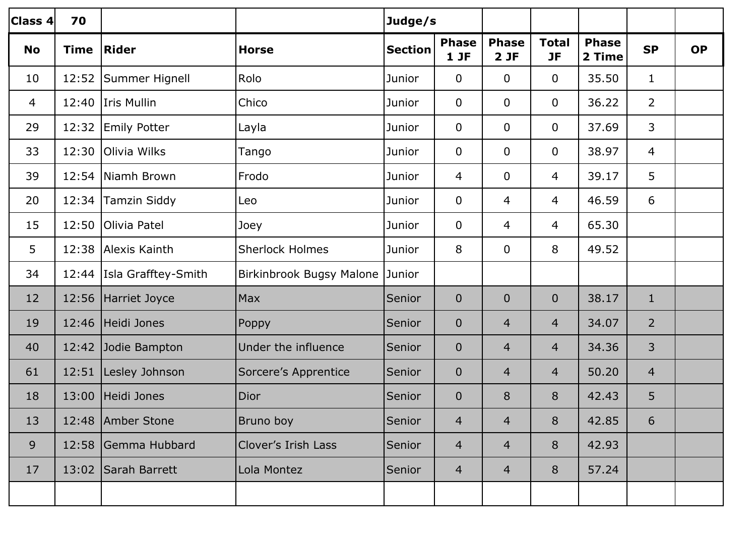| Class 4        | 70          |                             |                          | Judge/s        |                        |                     |                           |                        |                |           |
|----------------|-------------|-----------------------------|--------------------------|----------------|------------------------|---------------------|---------------------------|------------------------|----------------|-----------|
| <b>No</b>      | <b>Time</b> | <b>Rider</b>                | <b>Horse</b>             | <b>Section</b> | <b>Phase</b><br>$1$ JF | <b>Phase</b><br>2JF | <b>Total</b><br><b>JF</b> | <b>Phase</b><br>2 Time | <b>SP</b>      | <b>OP</b> |
| 10             |             | 12:52   Summer Hignell      | Rolo                     | Junior         | $\mathbf 0$            | $\mathbf 0$         | $\overline{0}$            | 35.50                  | $\mathbf{1}$   |           |
| $\overline{4}$ |             | 12:40 Iris Mullin           | Chico                    | Junior         | $\mathbf 0$            | $\mathbf 0$         | $\overline{0}$            | 36.22                  | $\overline{2}$ |           |
| 29             | 12:32       | <b>Emily Potter</b>         | Layla                    | Junior         | $\overline{0}$         | $\mathbf 0$         | $\overline{0}$            | 37.69                  | 3              |           |
| 33             | 12:30       | Olivia Wilks                | Tango                    | Junior         | $\overline{0}$         | $\mathbf 0$         | $\overline{0}$            | 38.97                  | 4              |           |
| 39             |             | 12:54 Niamh Brown           | Frodo                    | Junior         | $\overline{4}$         | $\mathbf 0$         | $\overline{4}$            | 39.17                  | 5              |           |
| 20             |             | 12:34 Tamzin Siddy          | Leo                      | Junior         | $\overline{0}$         | 4                   | $\overline{4}$            | 46.59                  | 6              |           |
| 15             | 12:50       | Olivia Patel                | Joey                     | Junior         | $\mathbf 0$            | 4                   | $\overline{4}$            | 65.30                  |                |           |
| 5              |             | 12:38 Alexis Kainth         | <b>Sherlock Holmes</b>   | Junior         | 8                      | $\mathbf 0$         | 8                         | 49.52                  |                |           |
| 34             |             | 12:44   Isla Grafftey-Smith | Birkinbrook Bugsy Malone | Junior         |                        |                     |                           |                        |                |           |
| 12             |             | 12:56 Harriet Joyce         | Max                      | Senior         | $\overline{0}$         | $\overline{0}$      | $\overline{0}$            | 38.17                  | $\mathbf{1}$   |           |
| 19             | 12:46       | Heidi Jones                 | Poppy                    | Senior         | $\mathbf{0}$           | 4                   | $\overline{4}$            | 34.07                  | $\overline{2}$ |           |
| 40             |             | 12:42 Jodie Bampton         | Under the influence      | Senior         | $\mathbf 0$            | 4                   | $\overline{4}$            | 34.36                  | $\overline{3}$ |           |
| 61             | 12:51       | Lesley Johnson              | Sorcere's Apprentice     | Senior         | $\mathbf{0}$           | 4                   | $\overline{4}$            | 50.20                  | $\overline{4}$ |           |
| 18             | 13:00       | Heidi Jones                 | <b>Dior</b>              | Senior         | $\mathbf{0}$           | 8                   | 8                         | 42.43                  | 5              |           |
| 13             |             | 12:48 Amber Stone           | Bruno boy                | Senior         | 4                      | $\overline{4}$      | 8                         | 42.85                  | 6              |           |
| 9              |             | 12:58 Gemma Hubbard         | Clover's Irish Lass      | Senior         | $\overline{4}$         | 4                   | 8                         | 42.93                  |                |           |
| 17             |             | 13:02 Sarah Barrett         | Lola Montez              | Senior         | $\overline{4}$         | $\overline{4}$      | 8                         | 57.24                  |                |           |
|                |             |                             |                          |                |                        |                     |                           |                        |                |           |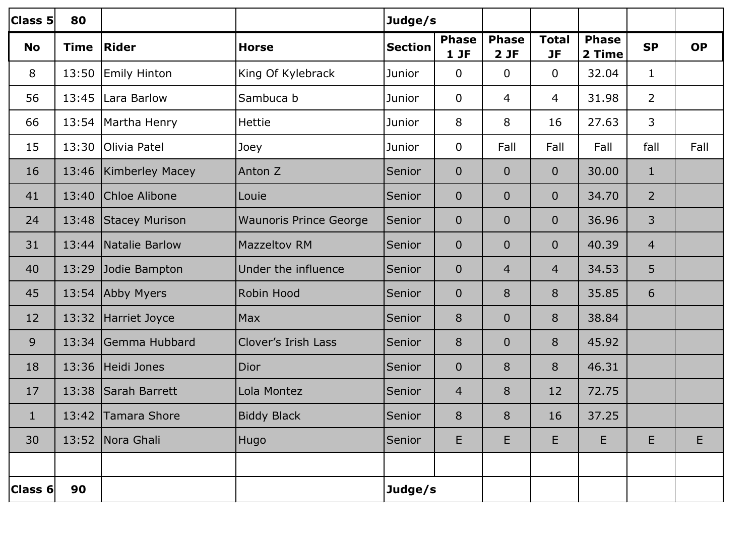| <b>Class 5</b> | 80          |                         |                               |                | Judge/s             |                     |                           |                        |                |           |
|----------------|-------------|-------------------------|-------------------------------|----------------|---------------------|---------------------|---------------------------|------------------------|----------------|-----------|
| <b>No</b>      | <b>Time</b> | Rider                   | <b>Horse</b>                  | <b>Section</b> | <b>Phase</b><br>1JF | <b>Phase</b><br>2JF | <b>Total</b><br><b>JF</b> | <b>Phase</b><br>2 Time | <b>SP</b>      | <b>OP</b> |
| 8              | 13:50       | <b>Emily Hinton</b>     | King Of Kylebrack             | Junior         | $\overline{0}$      | $\mathbf 0$         | $\overline{0}$            | 32.04                  | $\mathbf{1}$   |           |
| 56             |             | 13:45 Lara Barlow       | Sambuca b                     | Junior         | $\overline{0}$      | 4                   | 4                         | 31.98                  | $\overline{2}$ |           |
| 66             |             | 13:54   Martha Henry    | <b>Hettie</b>                 | Junior         | 8                   | 8                   | 16                        | 27.63                  | 3              |           |
| 15             | 13:30       | <b>Olivia Patel</b>     | Joey                          | Junior         | $\mathbf 0$         | Fall                | Fall                      | Fall                   | fall           | Fall      |
| 16             |             | 13:46   Kimberley Macey | Anton Z                       | Senior         | $\mathbf{0}$        | $\overline{0}$      | $\overline{0}$            | 30.00                  | $\mathbf{1}$   |           |
| 41             | 13:40       | Chloe Alibone           | Louie                         | Senior         | $\mathbf 0$         | $\overline{0}$      | $\overline{0}$            | 34.70                  | $\overline{2}$ |           |
| 24             |             | 13:48 Stacey Murison    | <b>Waunoris Prince George</b> | Senior         | $\mathbf{0}$        | $\overline{0}$      | $\overline{0}$            | 36.96                  | 3              |           |
| 31             |             | 13:44   Natalie Barlow  | <b>Mazzeltov RM</b>           | Senior         | $\overline{0}$      | $\overline{0}$      | $\overline{0}$            | 40.39                  | $\overline{4}$ |           |
| 40             | 13:29       | Jodie Bampton           | Under the influence           | Senior         | $\mathbf{0}$        | 4                   | 4                         | 34.53                  | 5              |           |
| 45             |             | 13:54 Abby Myers        | Robin Hood                    | Senior         | $\mathbf{0}$        | 8                   | 8                         | 35.85                  | 6              |           |
| 12             |             | 13:32 Harriet Joyce     | Max                           | Senior         | 8                   | $\overline{0}$      | 8                         | 38.84                  |                |           |
| 9              | 13:34       | Gemma Hubbard           | <b>Clover's Irish Lass</b>    | Senior         | 8                   | $\overline{0}$      | 8                         | 45.92                  |                |           |
| 18             |             | 13:36 Heidi Jones       | Dior                          | Senior         | $\mathbf 0$         | 8                   | 8                         | 46.31                  |                |           |
| 17             | 13:38       | Sarah Barrett           | Lola Montez                   | Senior         | 4                   | 8                   | 12                        | 72.75                  |                |           |
| 1              |             | 13:42 Tamara Shore      | <b>Biddy Black</b>            | Senior         | 8                   | 8                   | 16                        | 37.25                  |                |           |
| 30             |             | 13:52 Nora Ghali        | Hugo                          | Senior         | E                   | E                   | Е                         | E                      | E              | E         |
|                |             |                         |                               |                |                     |                     |                           |                        |                |           |
| Class 6        | 90          |                         |                               | Judge/s        |                     |                     |                           |                        |                |           |